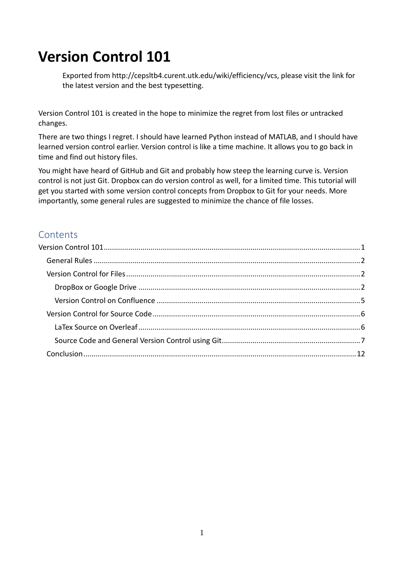# <span id="page-0-0"></span>**Version Control 101**

Exported from http://cepsltb4.curent.utk.edu/wiki/efficiency/vcs, please visit the link for the latest version and the best typesetting.

Version Control 101 is created in the hope to minimize the regret from lost files or untracked changes.

There are two things I regret. I should have learned Python instead of MATLAB, and I should have learned version control earlier. Version control is like a time machine. It allows you to go back in time and find out history files.

You might have heard of GitHub and Git and probably how steep the learning curve is. Version control is not just Git. Dropbox can do version control as well, for a limited time. This tutorial will get you started with some version control concepts from Dropbox to Git for your needs. More importantly, some general rules are suggested to minimize the chance of file losses.

### **Contents**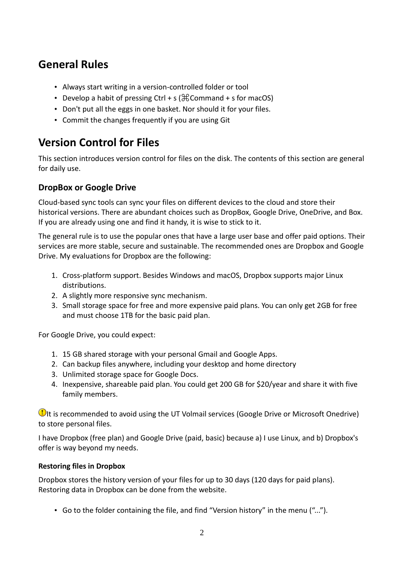### <span id="page-1-0"></span>**General Rules**

- Always start writing in a version-controlled folder or tool
- Develop a habit of pressing Ctrl + s ( $\textcircled{H}\text{Command}$  + s for macOS)
- Don't put all the eggs in one basket. Nor should it for your files.
- Commit the changes frequently if you are using Git

## <span id="page-1-1"></span>**Version Control for Files**

This section introduces version control for files on the disk. The contents of this section are general for daily use.

### <span id="page-1-2"></span>**DropBox or Google Drive**

Cloud-based sync tools can sync your files on different devices to the cloud and store their historical versions. There are abundant choices such as DropBox, Google Drive, OneDrive, and Box. If you are already using one and find it handy, it is wise to stick to it.

The general rule is to use the popular ones that have a large user base and offer paid options. Their services are more stable, secure and sustainable. The recommended ones are Dropbox and Google Drive. My evaluations for Dropbox are the following:

- 1. Cross-platform support. Besides Windows and macOS, Dropbox supports major Linux distributions.
- 2. A slightly more responsive sync mechanism.
- 3. Small storage space for free and more expensive paid plans. You can only get 2GB for free and must choose 1TB for the basic paid plan.

For Google Drive, you could expect:

- 1. 15 GB shared storage with your personal Gmail and Google Apps.
- 2. Can backup files anywhere, including your desktop and home directory
- 3. Unlimited storage space for Google Docs.
- 4. Inexpensive, shareable paid plan. You could get 200 GB for \$20/year and share it with five family members.

**It is recommended to avoid using the UT Volmail services (Google Drive or Microsoft Onedrive)** to store personal files.

I have Dropbox (free plan) and Google Drive (paid, basic) because a) I use Linux, and b) Dropbox's offer is way beyond my needs.

### **Restoring files in Dropbox**

Dropbox stores the history version of your files for up to 30 days (120 days for paid plans). Restoring data in Dropbox can be done from the website.

• Go to the folder containing the file, and find "Version history" in the menu ("...").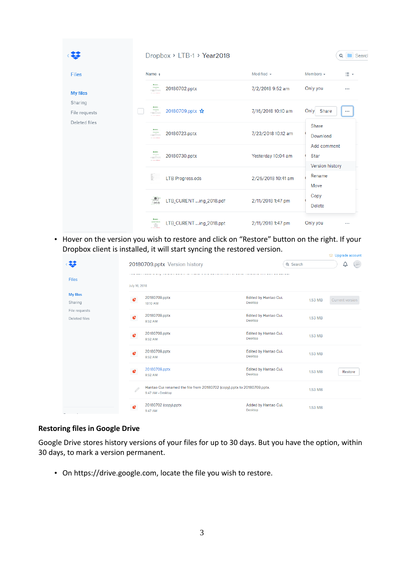|                          | Dropbox > LTB-1 > Year2018                                                                                                                                                                                                                                 |                    | Q Search                          |
|--------------------------|------------------------------------------------------------------------------------------------------------------------------------------------------------------------------------------------------------------------------------------------------------|--------------------|-----------------------------------|
| <b>Files</b>             | Name $+$                                                                                                                                                                                                                                                   | Modified +         | Members $\star$<br>三·             |
| <b>My files</b>          | <b>Bruner</b><br>$\begin{array}{c} \begin{array}{c} \text{number} \\ \text{number} \end{array} \end{array}$<br>20180702.pptx<br><b>CONTRACTOR</b>                                                                                                          | 7/2/2018 9:52 am   | Only you<br>$\cdots$              |
| Sharing<br>File requests | $\begin{array}{c} \begin{array}{c} \text{N} \text{ and } \text{free} \\ \text{m} \end{array} \\ \text{F} \begin{array}{c} \begin{array}{c} \text{N} \text{ and } \text{free} \\ \text{M} \text{ is } \text{m} \end{array} \end{array}$<br>20180709.pptx ☆  | 7/16/2018 10:10 am | Share<br>Only<br>0.0.0            |
| Deleted files            | <b>Brunsen</b><br>$\begin{array}{c} \begin{array}{c} \text{if } \text{for } n \neq n \\ \text{if } n \neq n \end{array} \end{array}$ $\begin{array}{c} \begin{array}{c} \text{if } n \neq n \end{array} \end{array}$<br>20180723.pptx<br><b>CONTRACTOR</b> | 7/23/2018 10:12 am | Share<br>Download                 |
|                          | 20180730.pptx<br>$\begin{array}{c}\n\text{where } n\geq 0,\\ \n\text{where } n\geq 0. \end{array}$                                                                                                                                                         | Yesterday 10:04 am | Add comment<br>Star               |
|                          | LTB Progress.ods                                                                                                                                                                                                                                           | 2/26/2018 10:41 am | Version history<br>Rename<br>Move |
|                          | $-888$<br>LTB_CURENT ing_2018.pdf                                                                                                                                                                                                                          | 2/11/2018 1:47 pm  | Copy<br><b>Delete</b>             |
|                          | LTB CURENT ing 2018.ppt<br>$\frac{2\pi}{\sin\theta}$                                                                                                                                                                                                       | 2/11/2018 1:47 pm  | Only you<br>0.0.0                 |

• Hover on the version you wish to restore and click on "Restore" button on the right. If your Dropbox client is installed, it will start syncing the restored version.

|                                |               |                                                                                              |                                         |          | M opgrade account                 |
|--------------------------------|---------------|----------------------------------------------------------------------------------------------|-----------------------------------------|----------|-----------------------------------|
|                                |               | 20180709.pptx Version history                                                                |                                         | Q Search | $\left(\frac{11}{10}\right)$<br>♤ |
| <b>Files</b>                   | July 16, 2018 | and common construction and construction of the material                                     |                                         |          |                                   |
| <b>My files</b><br>Sharing     | e             | 20180709.pptx<br>10:10 AM                                                                    | Edited by Hantao Cui.<br>Desktop        | 1.53 MB  | Current version                   |
| File requests<br>Deleted files | ē             | 20180709.pptx<br>9:52 AM                                                                     | Edited by Hantao Cui.<br><b>Desktop</b> | 1.53 MB  |                                   |
|                                | ë             | 20180709.pptx<br>9:52 AM                                                                     | Edited by Hantao Cui.<br>Desktop        | 1.53 MB  |                                   |
|                                | e             | 20180709.pptx<br>9:52 AM                                                                     | Edited by Hantao Cui.<br>Desktop        | 1.53 MB  |                                   |
|                                | e             | 20180709.pptx<br>9:52 AM                                                                     | Edited by Hantao Cui.<br><b>Desktop</b> | 1.53 MB  | Restore                           |
|                                | 0             | Hantao Cui renamed the file from 20180702 (copy).pptx to 20180709.pptx.<br>9:47 AM · Desktop |                                         | 1.53 MB  |                                   |
|                                | æ             | 20180702 (copy).pptx<br>9:47 AM                                                              | Added by Hantao Cui.<br>Desktop         | 1.53 MB  |                                   |

#### **Restoring files in Google Drive**

Google Drive stores history versions of your files for up to 30 days. But you have the option, within 30 days, to mark a version permanent.

• On [https://drive.google.com,](https://drive.google.com/) locate the file you wish to restore.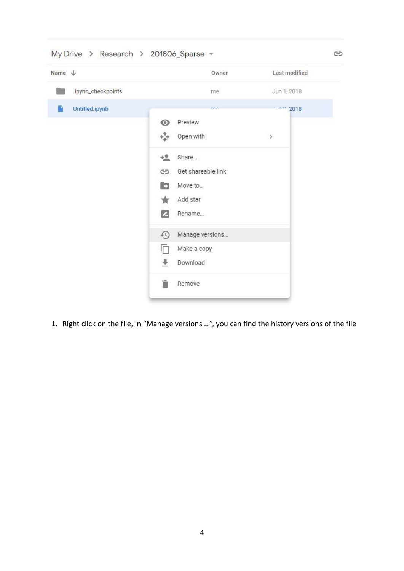| Name $\downarrow$   |                                  | Owner              | Last modified |  |
|---------------------|----------------------------------|--------------------|---------------|--|
| .ipynb_checkpoints  |                                  | me                 | Jun 1, 2018   |  |
| Untitled.ipynb<br>P |                                  | $\overline{a}$     | $km - 2018$   |  |
|                     | $\odot$<br>Preview               |                    |               |  |
|                     | 454<br>Open with                 |                    | $\,$          |  |
|                     | $+2$<br>Share                    |                    |               |  |
|                     | GD                               | Get shareable link |               |  |
|                     | <b>C3</b><br>Move to             |                    |               |  |
|                     | Add star                         |                    |               |  |
|                     | $\mathbb{Z}$<br>Rename           |                    |               |  |
|                     | $\Omega$                         | Manage versions    |               |  |
|                     | n<br>Make a copy                 |                    |               |  |
|                     | $\ddot{\phantom{1}}$<br>Download |                    |               |  |
|                     | Remove<br><b>Ta</b>              |                    |               |  |

1. Right click on the file, in "Manage versions ...", you can find the history versions of the file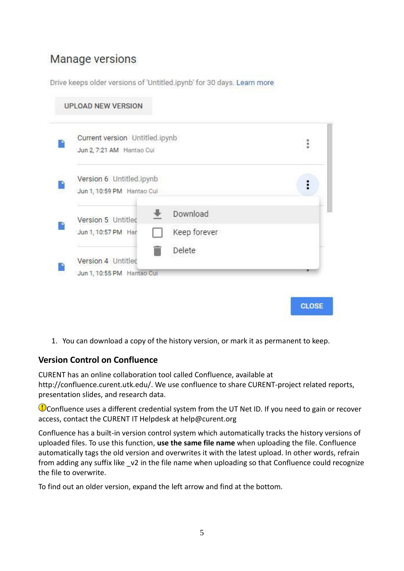## Manage versions

Drive keeps older versions of 'Untitled.jpynb' for 30 days. Learn more

| Current version Untitled.ipynb<br>Jun 2, 7:21 AM Hantao Cui |                        |  |
|-------------------------------------------------------------|------------------------|--|
| Version 6 Untitled.ipynb<br>Jun 1, 10:59 PM Hantao Cui      |                        |  |
| Version 5 Untitled                                          | Download               |  |
| Jun 1, 10:57 PM Har                                         | Keep forever<br>Delete |  |
| Version 4 Untitlec<br>Jun 1, 10:55 PM Hantao Cui            |                        |  |

1. You can download a copy of the history version, or mark it as permanent to keep.

### <span id="page-4-0"></span>**Version Control on Confluence**

CURENT has an online collaboration tool called Confluence, available at [http://confluence.curent.utk.edu/.](http://confluence.curent.utk.edu/) We use confluence to share CURENT-project related reports, presentation slides, and research data.

Confluence uses a different credential system from the UT Net ID. If you need to gain or recover access, contact the CURENT IT Helpdesk at help@curent.org

Confluence has a built-in version control system which automatically tracks the history versions of uploaded files. To use this function, **use the same file name** when uploading the file. Confluence automatically tags the old version and overwrites it with the latest upload. In other words, refrain from adding any suffix like v2 in the file name when uploading so that Confluence could recognize the file to overwrite.

To find out an older version, expand the left arrow and find at the bottom.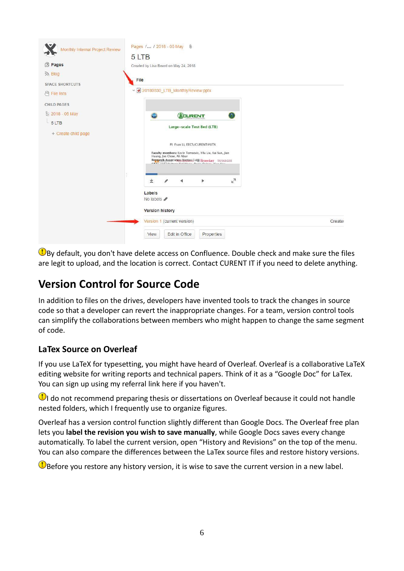

 $\mathbf \Phi$ By default, you don't have delete access on Confluence. Double check and make sure the files are legit to upload, and the location is correct. Contact CURENT IT if you need to delete anything.

## <span id="page-5-0"></span>**Version Control for Source Code**

In addition to files on the drives, developers have invented tools to track the changes in source code so that a developer can revert the inappropriate changes. For a team, version control tools can simplify the collaborations between members who might happen to change the same segment of code.

### <span id="page-5-1"></span>**LaTex Source on Overleaf**

If you use LaTeX for typesetting, you might have heard of Overleaf. Overleaf is a collaborative LaTeX editing website for writing reports and technical papers. Think of it as a "Google Doc" for LaTex. You can sign up using my referral link [here](https://www.overleaf.com/signup?ref=bda2296384d1) if you haven't.

**I** do not recommend preparing thesis or dissertations on Overleaf because it could not handle nested folders, which I frequently use to organize figures.

Overleaf has a version control function slightly different than Google Docs. The Overleaf free plan lets you **label the revision you wish to save manually**, while Google Docs saves every change automatically. To label the current version, open "History and Revisions" on the top of the menu. You can also compare the differences between the LaTex source files and restore history versions.

**B** Before you restore any history version, it is wise to save the current version in a new label.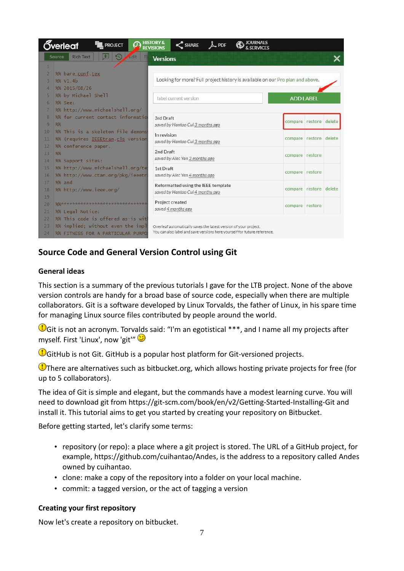|                | Őverleaf<br><b>PROJECT</b>                                | <b>HISTORY &amp;</b><br>$\leq$ SHARE<br><b>REVISIONS</b>                       |                        |  |
|----------------|-----------------------------------------------------------|--------------------------------------------------------------------------------|------------------------|--|
|                | <b>Rich Text</b><br>50<br>60 <sub>0</sub><br>Source<br>Fi | <b>Versions</b>                                                                |                        |  |
|                |                                                           |                                                                                |                        |  |
| $\overline{2}$ | %% bare_conf.tex                                          |                                                                                |                        |  |
| 3              | %% V1.4b                                                  | Looking for more? Full project history is available on our Pro plan and above. |                        |  |
| 4              | %% 2015/08/26                                             |                                                                                |                        |  |
| 5              | %% by Michael Shell                                       | label current version                                                          | <b>ADD LABEL</b>       |  |
| 6              | %% See:                                                   |                                                                                |                        |  |
| 7              | %% http://www.michaelshell.org/                           |                                                                                |                        |  |
| 8              | %% for current contact information                        | 3rd Draft                                                                      | compare restore delete |  |
| $\overline{9}$ | %%                                                        | saved by Hantao Cui 3 months ago                                               |                        |  |
| 10             | %% This is a skeleton file demonst                        | In revision                                                                    |                        |  |
| 11             | %% (requires IEEEtran.cls version                         | saved by Hantao Cui 3 months ago                                               | compare restore delete |  |
| 12             | %% conference paper.                                      | 2nd Draft                                                                      |                        |  |
| 13             | 96%                                                       | saved by Alec Yen 3 months ago                                                 | compare restore        |  |
| 14             | %% Support sites:                                         |                                                                                |                        |  |
| 15             | %% http://www.michaelshell.org/te                         | 1st Draft                                                                      | compare restore        |  |
| 16<br>17       | %% http://www.ctan.org/pkg/ieeetr<br>$%$ and              | saved by Alec Yen 4 months ago                                                 |                        |  |
| 18             | %% http://www.ieee.org/                                   | Reformatted using the IEEE template                                            | compare restore delete |  |
| 19             |                                                           | saved by Hantao Cui 4 months ago                                               |                        |  |
| 20             | 906********************************                       | Project created                                                                |                        |  |
| 21             | %% Legal Notice:                                          | saved 4 months ago                                                             | compare restore        |  |
| 22             | %% This code is offered as-is wit                         |                                                                                |                        |  |
| 23             | %% implied; without even the impl                         | Overleaf automatically saves the latest version of your project.               |                        |  |
| 24             | %% FITNESS FOR A PARTICULAR PURPO                         | You can also label and save versions here yourself for future reference.       |                        |  |

### <span id="page-6-0"></span>**Source Code and General Version Control using Git**

#### **General ideas**

This section is a summary of the previous tutorials I gave for the LTB project. None of the above version controls are handy for a broad base of source code, especially when there are multiple collaborators. Git is a software developed by Linux Torvalds, the father of Linux, in his spare time for managing Linux source files contributed by people around the world.

Git is not an acronym. Torvalds said: "I'm an egotistical \*\*\*, and I name all my projects after myself. First 'Linux', now 'git'"

GitHub is not Git. GitHub is a popular host platform for Git-versioned projects.

 $\bigcirc$ There are alternatives such as bitbucket.org, which allows hosting private projects for free (for up to 5 collaborators).

The idea of Git is simple and elegant, but the commands have a modest learning curve. You will need to download git from<https://git-scm.com/book/en/v2/Getting-Started-Installing-Git> and install it. This tutorial aims to get you started by creating your repository on Bitbucket.

Before getting started, let's clarify some terms:

- repository (or repo): a place where a git project is stored. The URL of a GitHub project, for example, https://github.com/cuihantao/Andes, is the address to a repository called Andes owned by cuihantao.
- clone: make a copy of the repository into a folder on your local machine.
- commit: a tagged version, or the act of tagging a version

#### **Creating your first repository**

Now let's create a repository on bitbucket.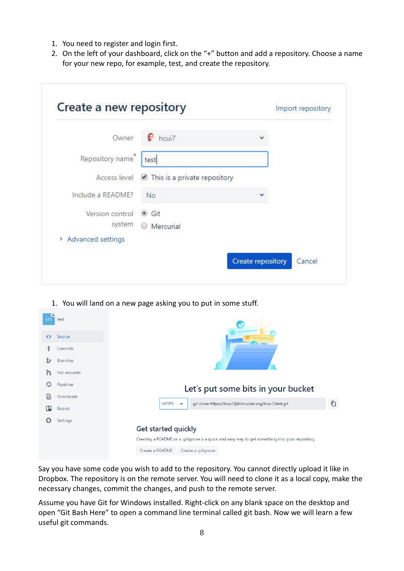- 1. You need to register and login first.
- 2. On the left of your dashboard, click on the "+" button and add a repository. Choose a name for your new repo, for example, test, and create the repository.

| Owner             | e<br>hcui7                                  |  |
|-------------------|---------------------------------------------|--|
| Repository name   | test                                        |  |
|                   | Access level ☑ This is a private repository |  |
| Include a README? | <b>No</b>                                   |  |
| Version control   | <b>●</b> Git                                |  |
| system            | <b>Mercurial</b>                            |  |

1. You will land on a new page asking you to put in some stuff.



Say you have some code you wish to add to the repository. You cannot directly upload it like in Dropbox. The repository is on the remote server. You will need to clone it as a local copy, make the necessary changes, commit the changes, and push to the remote server.

Assume you have Git for Windows installed. Right-click on any blank space on the desktop and open "Git Bash Here" to open a command line terminal called git bash. Now we will learn a few useful git commands.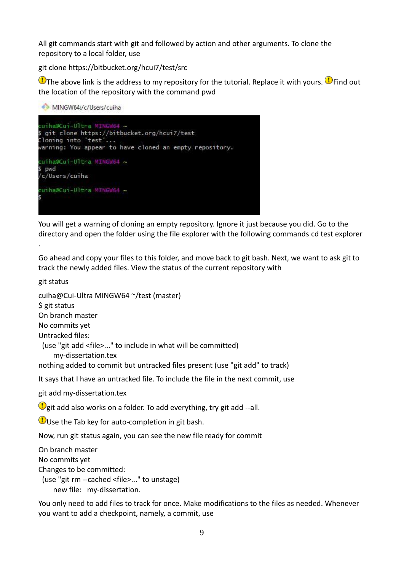All git commands start with git and followed by action and other arguments. To clone the repository to a local folder, use

git clone https://bitbucket.org/hcui7/test/src

 $\bigcirc$  The above link is the address to my repository for the tutorial. Replace it with yours.  $\bigcirc$  Find out the location of the repository with the command pwd

MINGW64:/c/Users/cuiha cuiha@Cui-Ultra MI \$ git clone https://bitbucket.org/hcui7/test .<br>Cloning into 'test'...<br>warning: You appear to have cloned an empty repository. cuiha@Cui-Ultra MINGW64 ~ pwd /c/Users/cuiha cuiha@Cui-Ultra MINGW64 ~

You will get a warning of cloning an empty repository. Ignore it just because you did. Go to the directory and open the folder using the file explorer with the following commands cd test explorer

Go ahead and copy your files to this folder, and move back to git bash. Next, we want to ask git to track the newly added files. View the status of the current repository with

git status

.

cuiha@Cui-Ultra MINGW64 ~/test (master) \$ git status On branch master No commits yet Untracked files: (use "git add <file>..." to include in what will be committed) my-dissertation.tex nothing added to commit but untracked files present (use "git add" to track) It says that I have an untracked file. To include the file in the next commit, use git add my-dissertation.tex  $\mathbb Q$  git add also works on a folder. To add everything, try git add --all.  $\bigcirc$ Use the Tab key for auto-completion in git bash.

Now, run git status again, you can see the new file ready for commit

On branch master No commits yet Changes to be committed: (use "git rm --cached <file>..." to unstage) new file: my-dissertation.

You only need to add files to track for once. Make modifications to the files as needed. Whenever you want to add a checkpoint, namely, a commit, use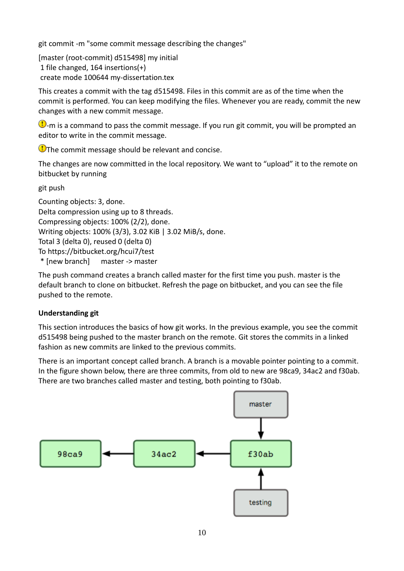git commit -m "some commit message describing the changes"

[master (root-commit) d515498] my initial 1 file changed, 164 insertions(+) create mode 100644 my-dissertation.tex

This creates a commit with the tag d515498. Files in this commit are as of the time when the commit is performed. You can keep modifying the files. Whenever you are ready, commit the new changes with a new commit message.

 $\bigcirc$ -m is a command to pass the commit message. If you run git commit, you will be prompted an editor to write in the commit message.

 $\bigcirc$ The commit message should be relevant and concise.

The changes are now committed in the local repository. We want to "upload" it to the remote on bitbucket by running

git push

Counting objects: 3, done. Delta compression using up to 8 threads. Compressing objects: 100% (2/2), done. Writing objects: 100% (3/3), 3.02 KiB | 3.02 MiB/s, done. Total 3 (delta 0), reused 0 (delta 0) To https://bitbucket.org/hcui7/test \* [new branch] master -> master

The push command creates a branch called master for the first time you push. master is the default branch to clone on bitbucket. Refresh the page on bitbucket, and you can see the file pushed to the remote.

### **Understanding git**

This section introduces the basics of how git works. In the previous example, you see the commit d515498 being pushed to the master branch on the remote. Git stores the commits in a linked fashion as new commits are linked to the previous commits.

There is an important concept called branch. A branch is a movable pointer pointing to a commit. In the figure shown below, there are three commits, from old to new are 98ca9, 34ac2 and f30ab. There are two branches called master and testing, both pointing to f30ab.

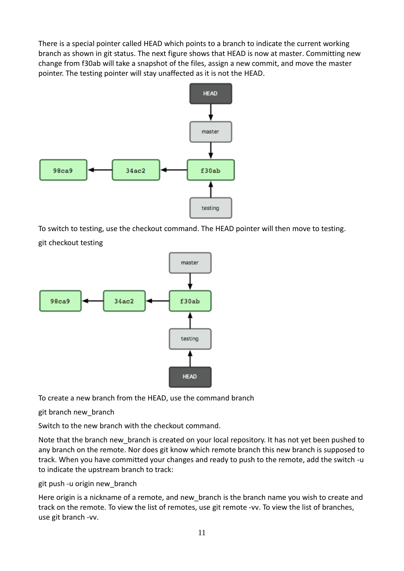There is a special pointer called HEAD which points to a branch to indicate the current working branch as shown in git status. The next figure shows that HEAD is now at master. Committing new change from f30ab will take a snapshot of the files, assign a new commit, and move the master pointer. The testing pointer will stay unaffected as it is not the HEAD.



To switch to testing, use the checkout command. The HEAD pointer will then move to testing. git checkout testing



To create a new branch from the HEAD, use the command branch

git branch new\_branch

Switch to the new branch with the checkout command.

Note that the branch new\_branch is created on your local repository. It has not yet been pushed to any branch on the remote. Nor does git know which remote branch this new branch is supposed to track. When you have committed your changes and ready to push to the remote, add the switch -u to indicate the upstream branch to track:

### git push -u origin new\_branch

Here origin is a nickname of a remote, and new branch is the branch name you wish to create and track on the remote. To view the list of remotes, use git remote -vv. To view the list of branches, use git branch -vv.